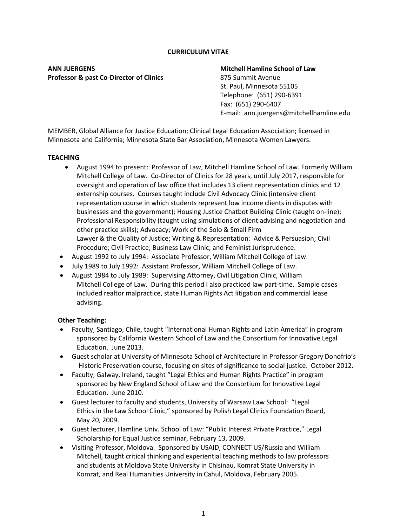#### **CURRICULUM VITAE**

**ANN JUERGENS Mitchell Hamline School of Law Professor & past Co-Director of Clinics** 875 Summit Avenue

 St. Paul, Minnesota 55105 Telephone: (651) 290-6391 Fax: (651) 290-6407 E-mail: ann.juergens@mitchellhamline.edu

MEMBER, Global Alliance for Justice Education; Clinical Legal Education Association; licensed in Minnesota and California; Minnesota State Bar Association, Minnesota Women Lawyers.

#### **TEACHING**

- August 1994 to present: Professor of Law, Mitchell Hamline School of Law. Formerly William Mitchell College of Law. Co-Director of Clinics for 28 years, until July 2017, responsible for oversight and operation of law office that includes 13 client representation clinics and 12 externship courses. Courses taught include Civil Advocacy Clinic (intensive client representation course in which students represent low income clients in disputes with businesses and the government); Housing Justice Chatbot Building Clinic (taught on-line); Professional Responsibility (taught using simulations of client advising and negotiation and other practice skills); Advocacy; Work of the Solo & Small Firm Lawyer & the Quality of Justice; Writing & Representation: Advice & Persuasion; Civil Procedure; Civil Practice; Business Law Clinic; and Feminist Jurisprudence.
- August 1992 to July 1994: Associate Professor, William Mitchell College of Law.
- July 1989 to July 1992: Assistant Professor, William Mitchell College of Law.
- August 1984 to July 1989: Supervising Attorney, Civil Litigation Clinic, William Mitchell College of Law. During this period I also practiced law part-time. Sample cases included realtor malpractice, state Human Rights Act litigation and commercial lease advising.

### **Other Teaching:**

- Faculty, Santiago, Chile, taught "International Human Rights and Latin America" in program sponsored by California Western School of Law and the Consortium for Innovative Legal Education. June 2013.
- Guest scholar at University of Minnesota School of Architecture in Professor Gregory Donofrio's Historic Preservation course, focusing on sites of significance to social justice. October 2012.
- Faculty, Galway, Ireland, taught "Legal Ethics and Human Rights Practice" in program sponsored by New England School of Law and the Consortium for Innovative Legal Education. June 2010.
- Guest lecturer to faculty and students, University of Warsaw Law School: "Legal Ethics in the Law School Clinic," sponsored by Polish Legal Clinics Foundation Board, May 20, 2009.
- Guest lecturer, Hamline Univ. School of Law: "Public Interest Private Practice," Legal Scholarship for Equal Justice seminar, February 13, 2009.
- Visiting Professor, Moldova. Sponsored by USAID, CONNECT US/Russia and William Mitchell, taught critical thinking and experiential teaching methods to law professors and students at Moldova State University in Chisinau, Komrat State University in Komrat, and Real Humanities University in Cahul, Moldova, February 2005.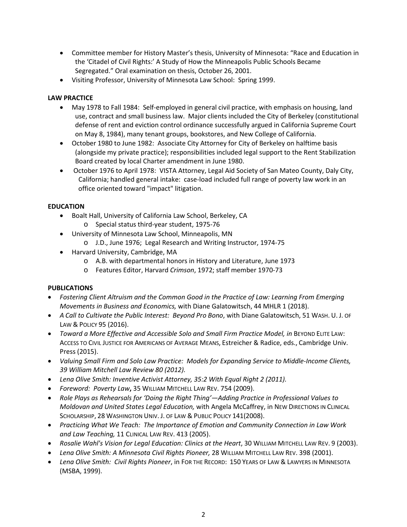- Committee member for History Master's thesis, University of Minnesota: "Race and Education in the 'Citadel of Civil Rights:' A Study of How the Minneapolis Public Schools Became Segregated." Oral examination on thesis, October 26, 2001.
- Visiting Professor, University of Minnesota Law School: Spring 1999.

## **LAW PRACTICE**

- May 1978 to Fall 1984: Self-employed in general civil practice, with emphasis on housing, land use, contract and small business law. Major clients included the City of Berkeley (constitutional defense of rent and eviction control ordinance successfully argued in California Supreme Court on May 8, 1984), many tenant groups, bookstores, and New College of California.
- October 1980 to June 1982: Associate City Attorney for City of Berkeley on halftime basis (alongside my private practice); responsibilities included legal support to the Rent Stabilization Board created by local Charter amendment in June 1980.
- October 1976 to April 1978: VISTA Attorney, Legal Aid Society of San Mateo County, Daly City, California; handled general intake: case-load included full range of poverty law work in an office oriented toward "impact" litigation.

## **EDUCATION**

- Boalt Hall, University of California Law School, Berkeley, CA
	- o Special status third-year student, 1975-76
- University of Minnesota Law School, Minneapolis, MN
	- o J.D., June 1976; Legal Research and Writing Instructor, 1974-75
- Harvard University, Cambridge, MA
	- o A.B. with departmental honors in History and Literature, June 1973
	- o Features Editor, Harvard *Crimson*, 1972; staff member 1970-73

## **PUBLICATIONS**

- *Fostering Client Altruism and the Common Good in the Practice of Law: Learning From Emerging Movements in Business and Economics,* with Diane Galatowitsch, 44 MHLR 1 (2018).
- *A Call to Cultivate the Public Interest: Beyond Pro Bono*, with Diane Galatowitsch, 51 WASH. U. J. OF LAW & POLICY 95 (2016).
- *Toward a More Effective and Accessible Solo and Small Firm Practice Model, in BEYOND ELITE LAW:* ACCESS TO CIVIL JUSTICE FOR AMERICANS OF AVERAGE MEANS, Estreicher & Radice, eds., Cambridge Univ. Press (2015).
- *Valuing Small Firm and Solo Law Practice: Models for Expanding Service to Middle-Income Clients, 39 William Mitchell Law Review 80 (2012).*
- *Lena Olive Smith: Inventive Activist Attorney, 35:2 With Equal Right 2 (2011).*
- *Foreword: Poverty Law***,** 35 WILLIAM MITCHELL LAW REV. 754 (2009).
- *Role Plays as Rehearsals for 'Doing the Right Thing'—Adding Practice in Professional Values to Moldovan and United States Legal Education,* with Angela McCaffrey, in NEW DIRECTIONS IN CLINICAL SCHOLARSHIP, 28 WASHINGTON UNIV. J. OF LAW & PUBLIC POLICY 141(2008).
- *Practicing What We Teach: The Importance of Emotion and Community Connection in Law Work and Law Teaching,* 11 CLINICAL LAW REV. 413 (2005).
- *Rosalie Wahl's Vision for Legal Education: Clinics at the Heart*, 30 WILLIAM MITCHELL LAW REV. 9 (2003).
- *Lena Olive Smith: A Minnesota Civil Rights Pioneer,* 28 WILLIAM MITCHELL LAW REV. 398 (2001).
- *Lena Olive Smith: Civil Rights Pioneer*, in FOR THE RECORD: 150 YEARS OF LAW & LAWYERS IN MINNESOTA (MSBA, 1999).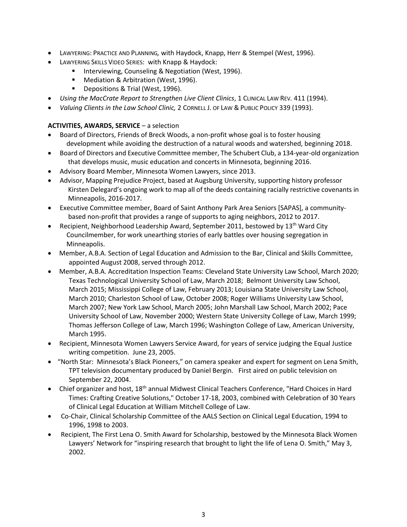- LAWYERING: PRACTICE AND PLANNING*,* with Haydock, Knapp, Herr & Stempel (West, 1996).
	- LAWYERING SKILLS VIDEO SERIES: with Knapp & Haydock:
		- **Interviewing, Counseling & Negotiation (West, 1996).**
		- **Mediation & Arbitration (West, 1996).**
		- **Depositions & Trial (West, 1996).**
- *Using the MacCrate Report to Strengthen Live Client Clinics*, 1 CLINICAL LAW REV*.* 411 (1994).
- *Valuing Clients in the Law School Clinic,* 2 CORNELL J. OF LAW & PUBLIC POLICY 339 (1993).

## **ACTIVITIES, AWARDS, SERVICE** – a selection

- Board of Directors, Friends of Breck Woods, a non-profit whose goal is to foster housing development while avoiding the destruction of a natural woods and watershed, beginning 2018.
- Board of Directors and Executive Committee member, The Schubert Club, a 134-year-old organization that develops music, music education and concerts in Minnesota, beginning 2016.
- Advisory Board Member, Minnesota Women Lawyers, since 2013.
- Advisor, Mapping Prejudice Project, based at Augsburg University, supporting history professor Kirsten Delegard's ongoing work to map all of the deeds containing racially restrictive covenants in Minneapolis, 2016-2017.
- Executive Committee member, Board of Saint Anthony Park Area Seniors [SAPAS], a community based non-profit that provides a range of supports to aging neighbors, 2012 to 2017.
- Recipient, Neighborhood Leadership Award, September 2011, bestowed by  $13^{th}$  Ward City Councilmember, for work unearthing stories of early battles over housing segregation in Minneapolis.
- Member, A.B.A. Section of Legal Education and Admission to the Bar, Clinical and Skills Committee, appointed August 2008, served through 2012.
- Member, A.B.A. Accreditation Inspection Teams: Cleveland State University Law School, March 2020; Texas Technological University School of Law, March 2018; Belmont University Law School, March 2015; Mississippi College of Law, February 2013; Louisiana State University Law School, March 2010; Charleston School of Law, October 2008; Roger Williams University Law School, March 2007; New York Law School, March 2005; John Marshall Law School, March 2002; Pace University School of Law, November 2000; Western State University College of Law, March 1999; Thomas Jefferson College of Law, March 1996; Washington College of Law, American University, March 1995.
- Recipient, Minnesota Women Lawyers Service Award, for years of service judging the Equal Justice writing competition. June 23, 2005.
- "North Star: Minnesota's Black Pioneers," on camera speaker and expert for segment on Lena Smith, TPT television documentary produced by Daniel Bergin. First aired on public television on September 22, 2004.
- Chief organizer and host, 18<sup>th</sup> annual Midwest Clinical Teachers Conference, "Hard Choices in Hard Times: Crafting Creative Solutions," October 17-18, 2003, combined with Celebration of 30 Years of Clinical Legal Education at William Mitchell College of Law.
- Co-Chair, Clinical Scholarship Committee of the AALS Section on Clinical Legal Education, 1994 to 1996, 1998 to 2003.
- Recipient, The First Lena O. Smith Award for Scholarship, bestowed by the Minnesota Black Women Lawyers' Network for "inspiring research that brought to light the life of Lena O. Smith," May 3, 2002.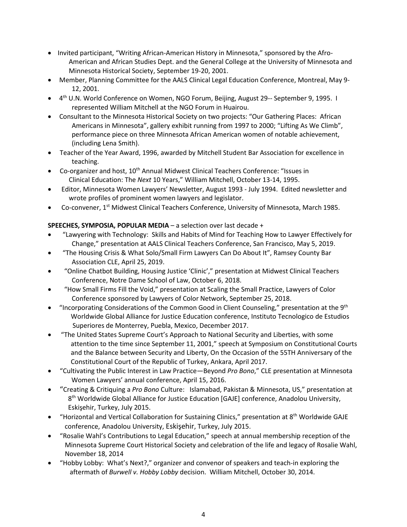- Invited participant, "Writing African-American History in Minnesota," sponsored by the Afro-American and African Studies Dept. and the General College at the University of Minnesota and Minnesota Historical Society, September 19-20, 2001.
- Member, Planning Committee for the AALS Clinical Legal Education Conference, Montreal, May 9- 12, 2001.
- 4<sup>th</sup> U.N. World Conference on Women, NGO Forum, Beijing, August 29-- September 9, 1995. I represented William Mitchell at the NGO Forum in Huairou.
- Consultant to the Minnesota Historical Society on two projects: "Our Gathering Places: African Americans in Minnesota", gallery exhibit running from 1997 to 2000; "Lifting As We Climb", performance piece on three Minnesota African American women of notable achievement, (including Lena Smith).
- Teacher of the Year Award, 1996, awarded by Mitchell Student Bar Association for excellence in teaching.
- Co-organizer and host,  $10^{th}$  Annual Midwest Clinical Teachers Conference: "Issues in Clinical Education: The *Next* 10 Years," William Mitchell, October 13-14, 1995.
- Editor, Minnesota Women Lawyers' Newsletter, August 1993 July 1994. Edited newsletter and wrote profiles of prominent women lawyers and legislator.
- Co-convener, 1st Midwest Clinical Teachers Conference, University of Minnesota, March 1985.

# **SPEECHES, SYMPOSIA, POPULAR MEDIA** – a selection over last decade +

- "Lawyering with Technology: Skills and Habits of Mind for Teaching How to Lawyer Effectively for Change," presentation at AALS Clinical Teachers Conference, San Francisco, May 5, 2019.
- "The Housing Crisis & What Solo/Small Firm Lawyers Can Do About It", Ramsey County Bar Association CLE, April 25, 2019.
- "Online Chatbot Building, Housing Justice 'Clinic'," presentation at Midwest Clinical Teachers Conference, Notre Dame School of Law, October 6, 2018.
- "How Small Firms Fill the Void," presentation at Scaling the Small Practice, Lawyers of Color Conference sponsored by Lawyers of Color Network, September 25, 2018.
- "Incorporating Considerations of the Common Good in Client Counseling," presentation at the  $9<sup>th</sup>$  Worldwide Global Alliance for Justice Education conference, Instituto Tecnologico de Estudios Superiores de Monterrey, Puebla, Mexico, December 2017.
- "The United States Supreme Court's Approach to National Security and Liberties, with some attention to the time since September 11, 2001," speech at Symposium on Constitutional Courts and the Balance between Security and Liberty, On the Occasion of the 55TH Anniversary of the Constitutional Court of the Republic of Turkey, Ankara, April 2017.
- "Cultivating the Public Interest in Law Practice—Beyond *Pro Bono*," CLE presentation at Minnesota Women Lawyers' annual conference, April 15, 2016.
- "Creating & Critiquing a *Pro Bono* Culture: Islamabad, Pakistan & Minnesota, US," presentation at 8<sup>th</sup> Worldwide Global Alliance for Justice Education [GAJE] conference, Anadolou University, Eskişehir, Turkey, July 2015.
- "Horizontal and Vertical Collaboration for Sustaining Clinics," presentation at 8th Worldwide GAJE conference, Anadolou University, Eskişehir, Turkey, July 2015.
- "Rosalie Wahl's Contributions to Legal Education," speech at annual membership reception of the Minnesota Supreme Court Historical Society and celebration of the life and legacy of Rosalie Wahl, November 18, 2014
- "Hobby Lobby: What's Next?," organizer and convenor of speakers and teach-in exploring the aftermath of *Burwell v. Hobby Lobby* decision. William Mitchell, October 30, 2014.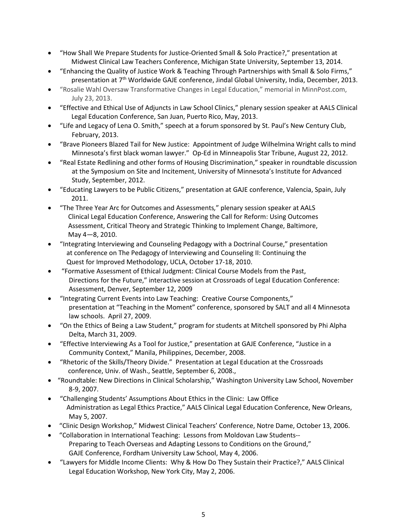- "How Shall We Prepare Students for Justice-Oriented Small & Solo Practice?," presentation at Midwest Clinical Law Teachers Conference, Michigan State University, September 13, 2014.
- "Enhancing the Quality of Justice Work & Teaching Through Partnerships with Small & Solo Firms," presentation at 7<sup>th</sup> Worldwide GAJE conference, Jindal Global University, India, December, 2013.
- "Rosalie Wahl Oversaw Transformative Changes in Legal Education," memorial in MinnPost.com, July 23, 2013.
- "Effective and Ethical Use of Adjuncts in Law School Clinics," plenary session speaker at AALS Clinical Legal Education Conference, San Juan, Puerto Rico, May, 2013.
- "Life and Legacy of Lena O. Smith," speech at a forum sponsored by St. Paul's New Century Club, February, 2013.
- "Brave Pioneers Blazed Tail for New Justice: Appointment of Judge Wilhelmina Wright calls to mind Minnesota's first black woman lawyer." Op-Ed in Minneapolis Star Tribune, August 22, 2012.
- "Real Estate Redlining and other forms of Housing Discrimination," speaker in roundtable discussion at the Symposium on Site and Incitement, University of Minnesota's Institute for Advanced Study, September, 2012.
- "Educating Lawyers to be Public Citizens," presentation at GAJE conference, Valencia, Spain, July 2011.
- "The Three Year Arc for Outcomes and Assessments*,*" plenary session speaker at AALS Clinical Legal Education Conference, Answering the Call for Reform: Using Outcomes Assessment, Critical Theory and Strategic Thinking to Implement Change, Baltimore, May 4—8, 2010.
- "Integrating Interviewing and Counseling Pedagogy with a Doctrinal Course," presentation at conference on The Pedagogy of Interviewing and Counseling II: Continuing the Quest for Improved Methodology, UCLA, October 17-18, 2010.
- "Formative Assessment of Ethical Judgment: Clinical Course Models from the Past, Directions for the Future," interactive session at Crossroads of Legal Education Conference: Assessment, Denver, September 12, 2009
- "Integrating Current Events into Law Teaching: Creative Course Components," presentation at "Teaching in the Moment" conference, sponsored by SALT and all 4 Minnesota law schools. April 27, 2009.
- "On the Ethics of Being a Law Student," program for students at Mitchell sponsored by Phi Alpha Delta, March 31, 2009.
- "Effective Interviewing As a Tool for Justice," presentation at GAJE Conference, "Justice in a Community Context," Manila, Philippines, December, 2008.
- "Rhetoric of the Skills/Theory Divide." Presentation at Legal Education at the Crossroads conference, Univ. of Wash., Seattle, September 6, 2008.,
- "Roundtable: New Directions in Clinical Scholarship," Washington University Law School, November 8-9, 2007.
- "Challenging Students' Assumptions About Ethics in the Clinic: Law Office Administration as Legal Ethics Practice," AALS Clinical Legal Education Conference, New Orleans, May 5, 2007.
- "Clinic Design Workshop," Midwest Clinical Teachers' Conference, Notre Dame, October 13, 2006.
- "Collaboration in International Teaching: Lessons from Moldovan Law Students-- Preparing to Teach Overseas and Adapting Lessons to Conditions on the Ground," GAJE Conference, Fordham University Law School, May 4, 2006.
- "Lawyers for Middle Income Clients: Why & How Do They Sustain their Practice?," AALS Clinical Legal Education Workshop, New York City, May 2, 2006.